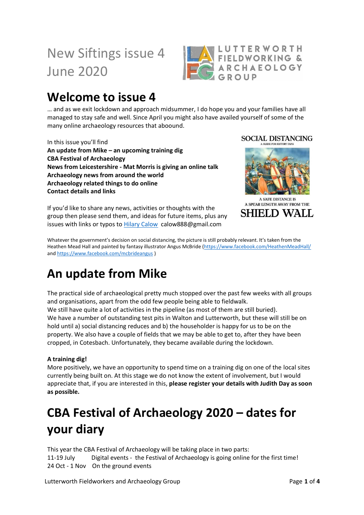# New Siftings issue 4 June 2020



## **Welcome to issue 4**

… and as we exit lockdown and approach midsummer, I do hope you and your families have all managed to stay safe and well. Since April you might also have availed yourself of some of the many online archaeology resources that aboound.

In this issue you'll find **An update from Mike – an upcoming training dig CBA Festival of Archaeology News from Leicestershire - Mat Morris is giving an online talk Archaeology news from around the world Archaeology related things to do online Contact details and links**

**SOCIAL DISTANCING** 



A SAFE DISTANCE IS A SPEAR LENGTH AWAY FROM THE SHIELD WALL

If you'd like to share any news, activities or thoughts with the group then please send them, and ideas for future items, plus any issues with links or typos to [Hilary Calow](mailto:calow888@gmail.com) calow888@gmail.com

Whatever the government's decision on social distancing, the picture is still probably relevant. It's taken from the Heathen Mead Hall and painted by fantasy illustrator Angus McBride [\(https://www.facebook.com/HeathenMeadHall/](https://www.facebook.com/HeathenMeadHall/)  an[d https://www.facebook.com/mcbrideangus](https://www.facebook.com/mcbrideangus) )

## **An update from Mike**

The practical side of archaeological pretty much stopped over the past few weeks with all groups and organisations, apart from the odd few people being able to fieldwalk. We still have quite a lot of activities in the pipeline (as most of them are still buried). We have a number of outstanding test pits in Walton and Lutterworth, but these will still be on hold until a) social distancing reduces and b) the householder is happy for us to be on the property. We also have a couple of fields that we may be able to get to, after they have been cropped, in Cotesbach. Unfortunately, they became available during the lockdown.

#### **A training dig!**

More positively, we have an opportunity to spend time on a training dig on one of the local sites currently being built on. At this stage we do not know the extent of involvement, but I would appreciate that, if you are interested in this, **please register your details with Judith Day as soon as possible.** 

# **CBA Festival of Archaeology 2020 – dates for your diary**

This year the CBA Festival of Archaeology will be taking place in two parts: 11-19 July Digital events - the Festival of Archaeology is going online for the first time! 24 Oct - 1 Nov On the ground events

Lutterworth Fieldworkers and Archaeology Group **Page 1** of 4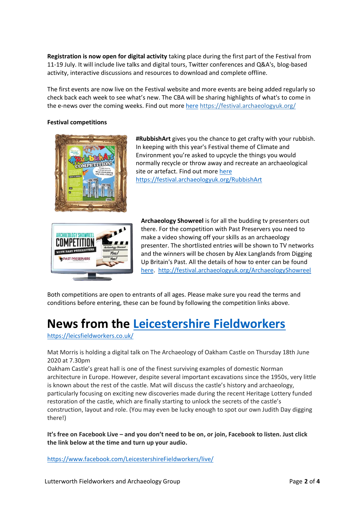**Registration is now open for digital activity** taking place during the first part of the Festival from 11-19 July. It will include live talks and digital tours, Twitter conferences and Q&A's, blog-based activity, interactive discussions and resources to download and complete offline.

The first events are now live on the Festival website and more events are being added regularly so check back each week to see what's new. The CBA will be sharing highlights of what's to come in the e-news over the coming weeks. Find out more [here](https://festival.archaeologyuk.org/) <https://festival.archaeologyuk.org/>

#### **Festival competitions**



**#RubbishArt** gives you the chance to get crafty with your rubbish. In keeping with this year's Festival theme of Climate and Environment you're asked to upcycle the things you would normally recycle or throw away and recreate an archaeological site or artefact. Find out more [here](https://festival.archaeologyuk.org/RubbishArt) <https://festival.archaeologyuk.org/RubbishArt>



**Archaeology Showreel** is for all the budding tv presenters out there. For the competition with Past Preservers you need to make a video showing off your skills as an archaeology presenter. The shortlisted entries will be shown to TV networks and the winners will be chosen by Alex Langlands from Digging Up Britain's Past. All the details of how to enter can be found [here.](http://festival.archaeologyuk.org/ArchaeologyShowreel) <http://festival.archaeologyuk.org/ArchaeologyShowreel>

Both competitions are open to entrants of all ages. Please make sure you read the terms and conditions before entering, these can be found by following the competition links above.

## **News from the [Leicestershire Fieldworkers](https://leicsfieldworkers.co.uk/)**

<https://leicsfieldworkers.co.uk/>

Mat Morris is holding a digital talk on The Archaeology of Oakham Castle on Thursday 18th June 2020 at 7.30pm

Oakham Castle's great hall is one of the finest surviving examples of domestic Norman architecture in Europe. However, despite several important excavations since the 1950s, very little is known about the rest of the castle. Mat will discuss the castle's history and archaeology, particularly focusing on exciting new discoveries made during the recent Heritage Lottery funded restoration of the castle, which are finally starting to unlock the secrets of the castle's construction, layout and role. (You may even be lucky enough to spot our own Judith Day digging there!)

**It's free on Facebook Live – and you don't need to be on, or join, Facebook to listen. Just click the link below at the time and turn up your audio.**

<https://www.facebook.com/LeicestershireFieldworkers/live/>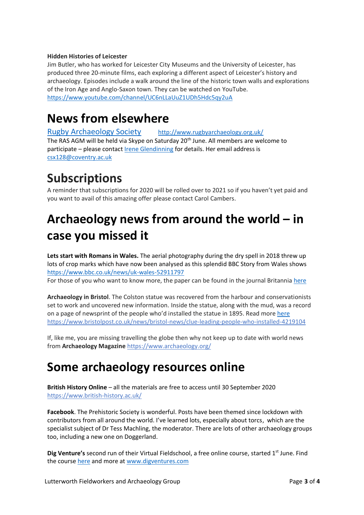#### **Hidden Histories of Leicester**

Jim Butler, who has worked for Leicester City Museums and the University of Leicester, has produced three 20-minute films, each exploring a different aspect of Leicester's history and archaeology. Episodes include a walk around the line of the historic town walls and explorations of the Iron Age and Anglo-Saxon town. They can be watched on YouTube. <https://www.youtube.com/channel/UC6nLLaUuZ1UDh5Hdc5qy2uA>

### **News from elsewhere**

[Rugby Archaeology Society](http://www.rugbyarchaeology.org.uk/) <http://www.rugbyarchaeology.org.uk/> The RAS AGM will be held via Skype on Saturday 20<sup>th</sup> June. All members are welcome to participate – please contact *Irene Glendinning* for details. Her email address is [csx128@coventry.ac.uk](mailto:csx128@coventry.ac.uk)

## **Subscriptions**

A reminder that subscriptions for 2020 will be rolled over to 2021 so if you haven't yet paid and you want to avail of this amazing offer please contact Carol Cambers.

## **Archaeology news from around the world – in case you missed it**

**Lets start with Romans in Wales.** The aerial photography during the dry spell in 2018 threw up lots of crop marks which have now been analysed as this splendid BBC Story from Wales shows <https://www.bbc.co.uk/news/uk-wales-52911797> For those of you who want to know more, the paper can be found in the journal Britannia [here](file:///C:/Users/Mike/AppData/Local/Packages/Microsoft.MicrosoftEdge_8wekyb3d8bbwe/TempState/Downloads/here)

**Archaeology in Bristol**. The Colston statue was recovered from the harbour and conservationists set to work and uncovered new information. Inside the statue, along with the mud, was a record on a page of newsprint of the people who'd installed the statue in 1895. Read mor[e here](https://www.bristolpost.co.uk/news/bristol-news/clue-leading-people-who-installed-4219104) <https://www.bristolpost.co.uk/news/bristol-news/clue-leading-people-who-installed-4219104>

If, like me, you are missing travelling the globe then why not keep up to date with world news from **Archaeology Magazine** <https://www.archaeology.org/>

### **Some archaeology resources online**

**British History Online** – all the materials are free to access until 30 September 2020 <https://www.british-history.ac.uk/>

**Facebook**. The Prehistoric Society is wonderful. Posts have been themed since lockdown with contributors from all around the world. I've learned lots, especially about torcs, which are the specialist subject of Dr Tess Machling, the moderator. There are lots of other archaeology groups too, including a new one on Doggerland.

**Dig Venture's** second run of their Virtual Fieldschool, a free online course, started 1<sup>st</sup> June. Find the course [here](https://digventures.com/shop/how-to-do-archaeology/?utm_source=DigVentures+News&utm_campaign=9523345469-EMAIL_CAMPAIGN_2020_03_26_10_54&utm_medium=email&utm_term=0_29f3f996a2-9523345469-116650137&mc_cid=9523345469&mc_eid=f671b35ec5) and more at [www.digventures.com](http://www.digventures.com/)